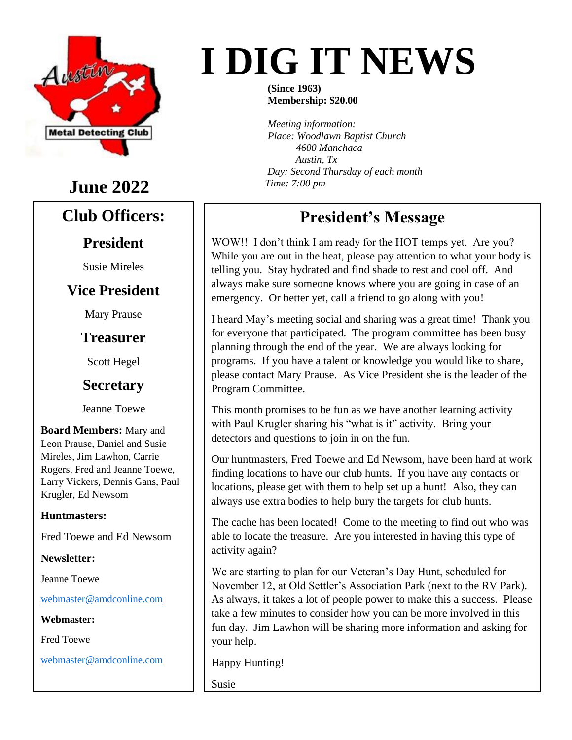

# **June 2022**

#### **Club Officers:**

#### **President**

Susie Mireles

#### **Vice President**

Mary Prause

#### **Treasurer**

Scott Hegel

#### **Secretary**

Jeanne Toewe

**Board Members:** Mary and Leon Prause, Daniel and Susie Mireles, Jim Lawhon, Carrie Rogers, Fred and Jeanne Toewe, Larry Vickers, Dennis Gans, Paul Krugler, Ed Newsom

#### **Huntmasters:**

Fred Toewe and Ed Newsom

**Newsletter:**

Jeanne Toewe

[webmaster@amdconline.com](mailto:webmaster@amdconline.com)

**Webmaster:**

Fred Toewe

[webmaster@amdconline.com](mailto:webmaster@amdconline.com)

# **I DIG IT NEWS**

**(Since 1963) Membership: \$20.00**

*Meeting information: Place: Woodlawn Baptist Church 4600 Manchaca Austin, Tx Day: Second Thursday of each month Time: 7:00 pm*

# **President's Message**

WOW!! I don't think I am ready for the HOT temps yet. Are you? While you are out in the heat, please pay attention to what your body is telling you. Stay hydrated and find shade to rest and cool off. And always make sure someone knows where you are going in case of an emergency. Or better yet, call a friend to go along with you!

I heard May's meeting social and sharing was a great time! Thank you for everyone that participated. The program committee has been busy planning through the end of the year. We are always looking for programs. If you have a talent or knowledge you would like to share, please contact Mary Prause. As Vice President she is the leader of the Program Committee.

This month promises to be fun as we have another learning activity with Paul Krugler sharing his "what is it" activity. Bring your detectors and questions to join in on the fun.

Our huntmasters, Fred Toewe and Ed Newsom, have been hard at work finding locations to have our club hunts. If you have any contacts or locations, please get with them to help set up a hunt! Also, they can always use extra bodies to help bury the targets for club hunts.

The cache has been located! Come to the meeting to find out who was able to locate the treasure. Are you interested in having this type of activity again?

We are starting to plan for our Veteran's Day Hunt, scheduled for November 12, at Old Settler's Association Park (next to the RV Park). As always, it takes a lot of people power to make this a success. Please take a few minutes to consider how you can be more involved in this fun day. Jim Lawhon will be sharing more information and asking for your help.

Happy Hunting!

Susie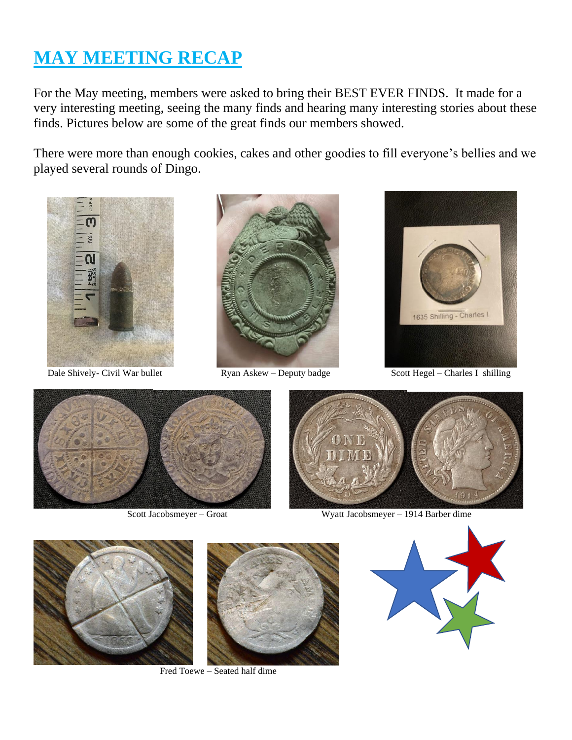# **MAY MEETING RECAP**

For the May meeting, members were asked to bring their BEST EVER FINDS. It made for a very interesting meeting, seeing the many finds and hearing many interesting stories about these finds. Pictures below are some of the great finds our members showed.

There were more than enough cookies, cakes and other goodies to fill everyone's bellies and we played several rounds of Dingo.







Dale Shively- Civil War bullet Ryan Askew – Deputy badge Scott Hegel – Charles I shilling





Scott Jacobsmeyer – Groat Wyatt Jacobsmeyer – 1914 Barber dime



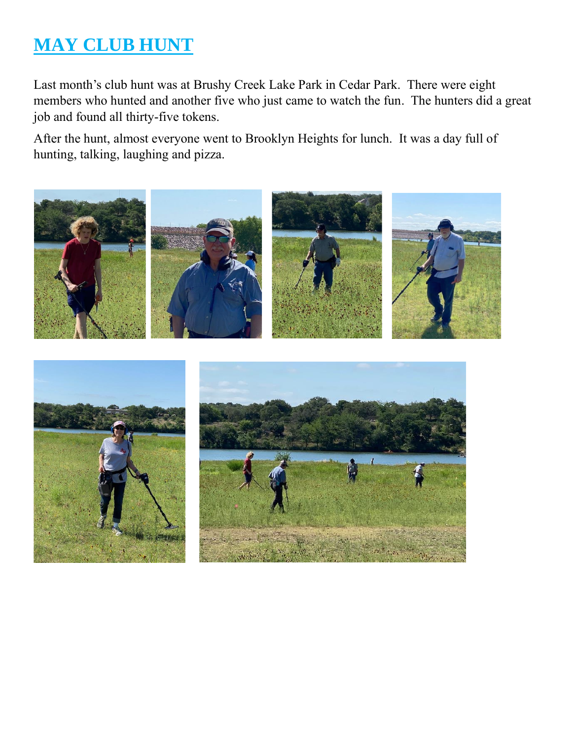# **MAY CLUB HUNT**

Last month's club hunt was at Brushy Creek Lake Park in Cedar Park. There were eight members who hunted and another five who just came to watch the fun. The hunters did a great job and found all thirty-five tokens.

After the hunt, almost everyone went to Brooklyn Heights for lunch. It was a day full of hunting, talking, laughing and pizza.

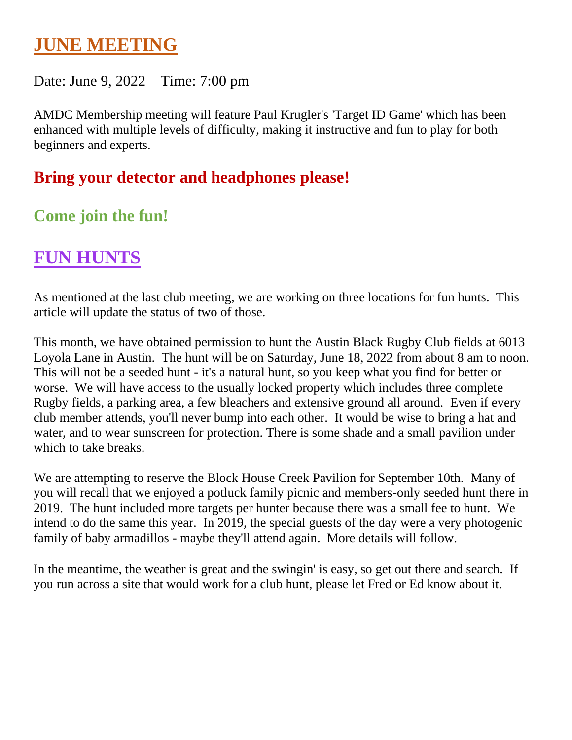## **JUNE MEETING**

#### Date: June 9, 2022 Time: 7:00 pm

AMDC Membership meeting will feature Paul Krugler's 'Target ID Game' which has been enhanced with multiple levels of difficulty, making it instructive and fun to play for both beginners and experts.

## **Bring your detector and headphones please!**

## **Come join the fun!**

# **FUN HUNTS**

As mentioned at the last club meeting, we are working on three locations for fun hunts. This article will update the status of two of those.

This month, we have obtained permission to hunt the Austin Black Rugby Club fields at 6013 Loyola Lane in Austin. The hunt will be on Saturday, June 18, 2022 from about 8 am to noon. This will not be a seeded hunt - it's a natural hunt, so you keep what you find for better or worse. We will have access to the usually locked property which includes three complete Rugby fields, a parking area, a few bleachers and extensive ground all around. Even if every club member attends, you'll never bump into each other. It would be wise to bring a hat and water, and to wear sunscreen for protection. There is some shade and a small pavilion under which to take breaks.

We are attempting to reserve the Block House Creek Pavilion for September 10th. Many of you will recall that we enjoyed a potluck family picnic and members-only seeded hunt there in 2019. The hunt included more targets per hunter because there was a small fee to hunt. We intend to do the same this year. In 2019, the special guests of the day were a very photogenic family of baby armadillos - maybe they'll attend again. More details will follow.

In the meantime, the weather is great and the swingin' is easy, so get out there and search. If you run across a site that would work for a club hunt, please let Fred or Ed know about it.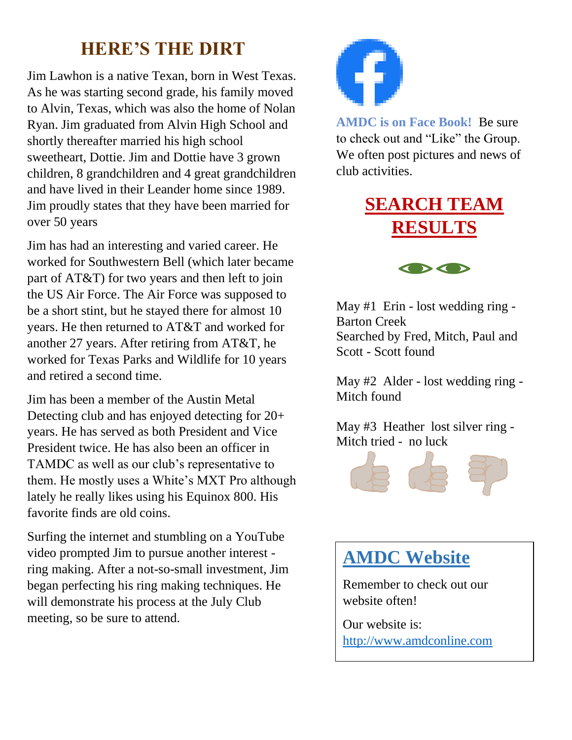# **HERE'S THE DIRT**

Jim Lawhon is a native Texan, born in West Texas. As he was starting second grade, his family moved to Alvin, Texas, which was also the home of Nolan Ryan. Jim graduated from Alvin High School and shortly thereafter married his high school sweetheart, Dottie. Jim and Dottie have 3 grown children, 8 grandchildren and 4 great grandchildren and have lived in their Leander home since 1989. Jim proudly states that they have been married for over 50 years

Jim has had an interesting and varied career. He worked for Southwestern Bell (which later became part of AT&T) for two years and then left to join the US Air Force. The Air Force was supposed to be a short stint, but he stayed there for almost 10 years. He then returned to AT&T and worked for another 27 years. After retiring from AT&T, he worked for Texas Parks and Wildlife for 10 years and retired a second time.

Jim has been a member of the Austin Metal Detecting club and has enjoyed detecting for 20+ years. He has served as both President and Vice President twice. He has also been an officer in TAMDC as well as our club's representative to them. He mostly uses a White's MXT Pro although lately he really likes using his Equinox 800. His favorite finds are old coins.

Surfing the internet and stumbling on a YouTube video prompted Jim to pursue another interest ring making. After a not-so-small investment, Jim began perfecting his ring making techniques. He will demonstrate his process at the July Club meeting, so be sure to attend.



**AMDC is on Face Book!** Be sure to check out and "Like" the Group. We often post pictures and news of club activities.

# **SEARCH TEAM RESULTS**



May #1 Erin - lost wedding ring - Barton Creek Searched by Fred, Mitch, Paul and Scott - Scott found

May #2 Alder - lost wedding ring - Mitch found

May #3 Heather lost silver ring - Mitch tried - no luck



# **AMDC Website**

Remember to check out our website often!

Our website is: [http://www.amdconline.com](http://www.amdconline.com/)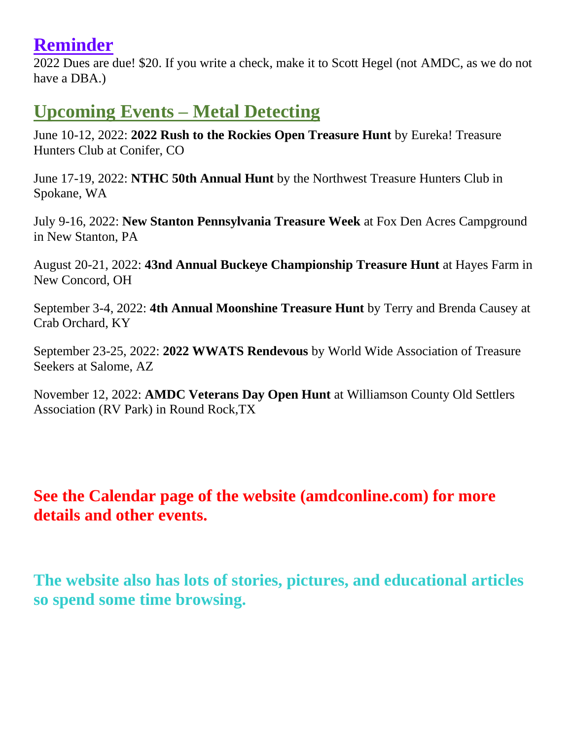## **Reminder**

2022 Dues are due! \$20. If you write a check, make it to Scott Hegel (not AMDC, as we do not have a DBA.)

# **Upcoming Events – Metal Detecting**

June 10-12, 2022: **2022 Rush to the Rockies Open Treasure Hunt** by Eureka! Treasure Hunters Club at Conifer, CO

June 17-19, 2022: **NTHC 50th Annual Hunt** by the Northwest Treasure Hunters Club in Spokane, WA

July 9-16, 2022: **New Stanton Pennsylvania Treasure Week** at Fox Den Acres Campground in New Stanton, PA

August 20-21, 2022: **43nd Annual Buckeye Championship Treasure Hunt** at Hayes Farm in New Concord, OH

September 3-4, 2022: **4th Annual Moonshine Treasure Hunt** by Terry and Brenda Causey at Crab Orchard, KY

September 23-25, 2022: **2022 WWATS Rendevous** by World Wide Association of Treasure Seekers at Salome, AZ

November 12, 2022: **AMDC Veterans Day Open Hunt** at Williamson County Old Settlers Association (RV Park) in Round Rock,TX

### **See the Calendar page of the website (amdconline.com) for more details and other events.**

**The website also has lots of stories, pictures, and educational articles so spend some time browsing.**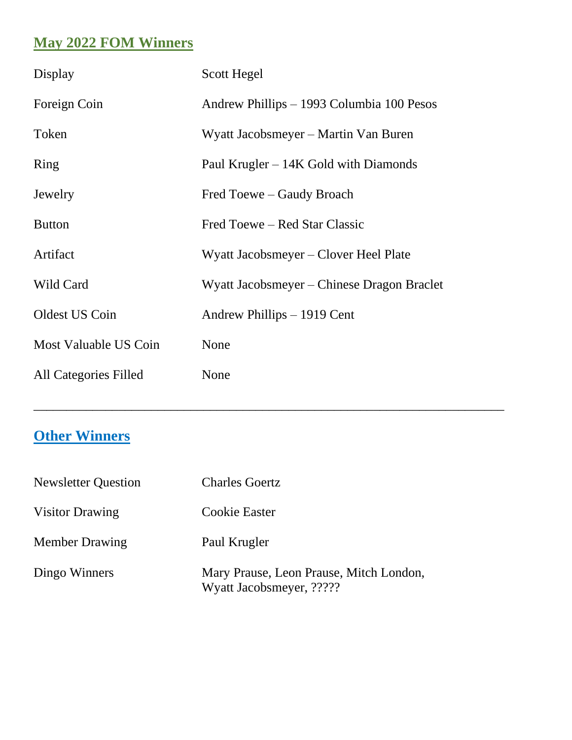### **May 2022 FOM Winners**

| Display                      | Scott Hegel                                |
|------------------------------|--------------------------------------------|
| Foreign Coin                 | Andrew Phillips – 1993 Columbia 100 Pesos  |
| Token                        | Wyatt Jacobsmeyer – Martin Van Buren       |
| Ring                         | Paul Krugler $-14K$ Gold with Diamonds     |
| Jewelry                      | Fred Toewe – Gaudy Broach                  |
| <b>Button</b>                | Fred Toewe – Red Star Classic              |
| Artifact                     | Wyatt Jacobsmeyer – Clover Heel Plate      |
| Wild Card                    | Wyatt Jacobsmeyer – Chinese Dragon Braclet |
| Oldest US Coin               | Andrew Phillips – 1919 Cent                |
| Most Valuable US Coin        | None                                       |
| <b>All Categories Filled</b> | None                                       |

\_\_\_\_\_\_\_\_\_\_\_\_\_\_\_\_\_\_\_\_\_\_\_\_\_\_\_\_\_\_\_\_\_\_\_\_\_\_\_\_\_\_\_\_\_\_\_\_\_\_\_\_\_\_\_\_\_\_\_\_\_\_\_\_\_\_\_\_\_\_\_\_

## **Other Winners**

| <b>Newsletter Question</b> | <b>Charles Goertz</b>                                               |  |
|----------------------------|---------------------------------------------------------------------|--|
| <b>Visitor Drawing</b>     | Cookie Easter                                                       |  |
| <b>Member Drawing</b>      | Paul Krugler                                                        |  |
| Dingo Winners              | Mary Prause, Leon Prause, Mitch London,<br>Wyatt Jacobsmeyer, ????? |  |